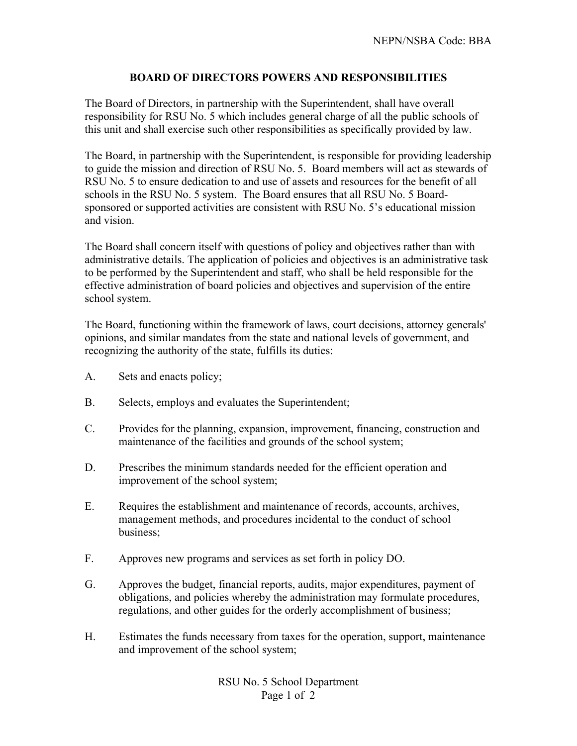## **BOARD OF DIRECTORS POWERS AND RESPONSIBILITIES**

The Board of Directors, in partnership with the Superintendent, shall have overall responsibility for RSU No. 5 which includes general charge of all the public schools of this unit and shall exercise such other responsibilities as specifically provided by law.

The Board, in partnership with the Superintendent, is responsible for providing leadership to guide the mission and direction of RSU No. 5. Board members will act as stewards of RSU No. 5 to ensure dedication to and use of assets and resources for the benefit of all schools in the RSU No. 5 system. The Board ensures that all RSU No. 5 Boardsponsored or supported activities are consistent with RSU No. 5's educational mission and vision.

The Board shall concern itself with questions of policy and objectives rather than with administrative details. The application of policies and objectives is an administrative task to be performed by the Superintendent and staff, who shall be held responsible for the effective administration of board policies and objectives and supervision of the entire school system.

The Board, functioning within the framework of laws, court decisions, attorney generals' opinions, and similar mandates from the state and national levels of government, and recognizing the authority of the state, fulfills its duties:

- A. Sets and enacts policy;
- B. Selects, employs and evaluates the Superintendent;
- C. Provides for the planning, expansion, improvement, financing, construction and maintenance of the facilities and grounds of the school system;
- D. Prescribes the minimum standards needed for the efficient operation and improvement of the school system;
- E. Requires the establishment and maintenance of records, accounts, archives, management methods, and procedures incidental to the conduct of school business;
- F. Approves new programs and services as set forth in policy DO.
- G. Approves the budget, financial reports, audits, major expenditures, payment of obligations, and policies whereby the administration may formulate procedures, regulations, and other guides for the orderly accomplishment of business;
- H. Estimates the funds necessary from taxes for the operation, support, maintenance and improvement of the school system;

RSU No. 5 School Department Page 1 of 2